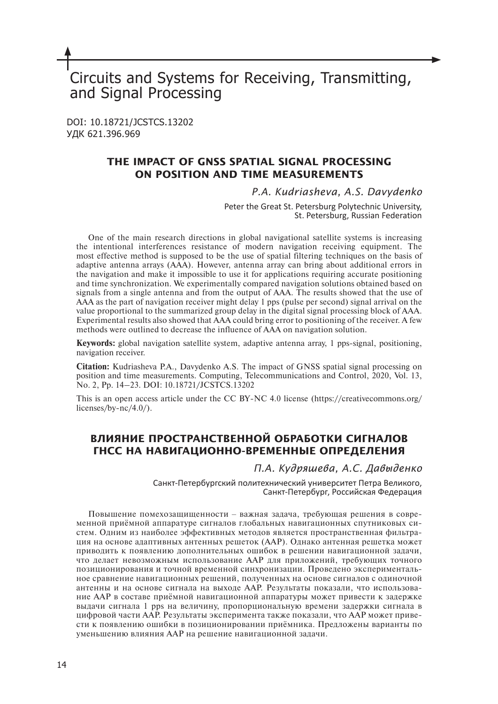# Circuits and Systems for Receiving, Transmitting, and Signal Processing

DOI: 10.18721/JCSTCS.13202 УДК 621.396.969

## **THE IMPACT OF GNSS SPATIAL SIGNAL PROCESSING ON POSITION AND TIME MEASUREMENTS**

## *P.A. Kudriasheva, A.S. Davydenko*

Peter the Great St. Petersburg Polytechnic University, St. Petersburg, Russian Federation

One of the main research directions in global navigational satellite systems is increasing the intentional interferences resistance of modern navigation receiving equipment. The most effective method is supposed to be the use of spatial filtering techniques on the basis of adaptive antenna arrays (AAA). However, antenna array can bring about additional errors in the navigation and make it impossible to use it for applications requiring accurate positioning and time synchronization. We experimentally compared navigation solutions obtained based on signals from a single antenna and from the output of AAA. The results showed that the use of AAA as the part of navigation receiver might delay 1 pps (pulse per second) signal arrival on the value proportional to the summarized group delay in the digital signal processing block of AAA. Experimental results also showed that AAA could bring error to positioning of the receiver. A few methods were outlined to decrease the influence of AAA on navigation solution.

**Keywords:** global navigation satellite system, adaptive antenna array, 1 pps-signal, positioning, navigation receiver.

**Citation:** Kudriasheva P.A., Davydenko A.S. The impact of GNSS spatial signal processing on position and time measurements. Computing, Telecommunications and Control, 2020, Vol. 13, No. 2, Pp. 14–23. DOI: 10.18721/JCSTCS.13202

This is an open access article under the CC BY-NC 4.0 license (https://creativecommons.org/ licenses/by-nc/4.0/).

# **ВЛИЯНИЕ ПРОСТРАНСТВЕННОЙ ОБРАБОТКИ СИГНАЛОВ ГНСС НА НАВИГАЦИОННО-ВРЕМЕННЫЕ ОПРЕДЕЛЕНИЯ**

*П.А. Кудряшева, А.С. Давыденко*

Санкт-Петербургский политехнический университет Петра Великого, Санкт-Петербург, Российская Федерация

Повышение помехозащищенности ‒ важная задача, требующая решения в современной приёмной аппаратуре сигналов глобальных навигационных спутниковых систем. Одним из наиболее эффективных методов является пространственная фильтрация на основе адаптивных антенных решеток (ААР). Однако антенная решетка может приводить к появлению дополнительных ошибок в решении навигационной задачи, что делает невозможным использование ААР для приложений, требующих точного позиционирования и точной временной синхронизации. Проведено экспериментальное сравнение навигационных решений, полученных на основе сигналов с одиночной антенны и на основе сигнала на выходе ААР. Результаты показали, что использование ААР в составе приёмной навигационной аппаратуры может привести к задержке выдачи сигнала 1 pps на величину, пропорциональную времени задержки сигнала в цифровой части ААР. Результаты эксперимента также показали, что ААР может привести к появлению ошибки в позиционировании приёмника. Предложены варианты по уменьшению влияния ААР на решение навигационной задачи.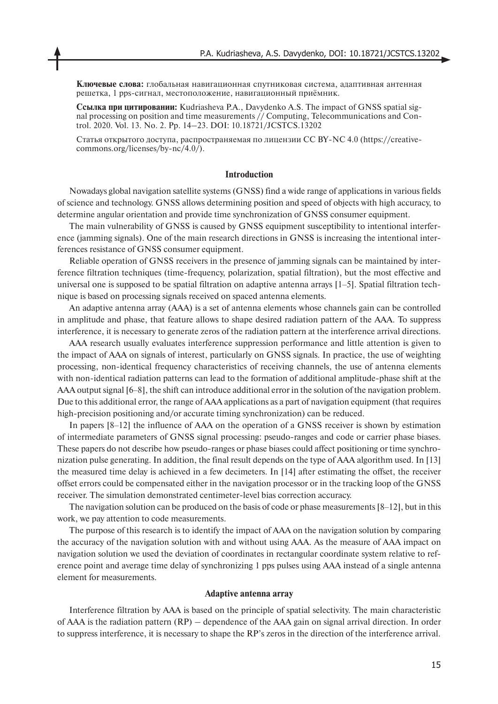**Ключевые слова:** глобальная навигационная спутниковая система, адаптивная антенная решетка, 1 pps-сигнал, местоположение, навигационный приёмник.

**Ссылка при цитировании:** Kudriasheva P.A., Davydenko A.S. The impact of GNSS spatial signal processing on position and time measurements // Computing, Telecommunications and Control. 2020. Vol. 13. No. 2. Pp. 14–23. DOI: 10.18721/JCSTCS.13202

Cтатья открытого доступа, распространяемая по лицензии CC BY-NC 4.0 (https://creativecommons.org/licenses/by-nc/4.0/).

#### **Introduction**

Nowadays global navigation satellite systems (GNSS) find a wide range of applications in various fields of science and technology. GNSS allows determining position and speed of objects with high accuracy, to determine angular orientation and provide time synchronization of GNSS consumer equipment.

The main vulnerability of GNSS is caused by GNSS equipment susceptibility to intentional interference (jamming signals). One of the main research directions in GNSS is increasing the intentional interferences resistance of GNSS consumer equipment.

Reliable operation of GNSS receivers in the presence of jamming signals can be maintained by interference filtration techniques (time-frequency, polarization, spatial filtration), but the most effective and universal one is supposed to be spatial filtration on adaptive antenna arrays [1‒5]. Spatial filtration technique is based on processing signals received on spaced antenna elements.

An adaptive antenna array (AAA) is a set of antenna elements whose channels gain can be controlled in amplitude and phase, that feature allows to shape desired radiation pattern of the AAA. To suppress interference, it is necessary to generate zeros of the radiation pattern at the interference arrival directions.

AAA research usually evaluates interference suppression performance and little attention is given to the impact of AAA on signals of interest, particularly on GNSS signals. In practice, the use of weighting processing, non-identical frequency characteristics of receiving channels, the use of antenna elements with non-identical radiation patterns can lead to the formation of additional amplitude-phase shift at the AAA output signal  $[6-8]$ , the shift can introduce additional error in the solution of the navigation problem. Due to this additional error, the range of AAA applications as a part of navigation equipment (that requires high-precision positioning and/or accurate timing synchronization) can be reduced.

In papers [8‒12] the influence of AAA on the operation of a GNSS receiver is shown by estimation of intermediate parameters of GNSS signal processing: pseudo-ranges and code or carrier phase biases. These papers do not describe how pseudo-ranges or phase biases could affect positioning or time synchronization pulse generating. In addition, the final result depends on the type of AAA algorithm used. In [13] the measured time delay is achieved in a few decimeters. In [14] after estimating the offset, the receiver offset errors could be compensated either in the navigation processor or in the tracking loop of the GNSS receiver. The simulation demonstrated centimeter-level bias correction accuracy.

The navigation solution can be produced on the basis of code or phase measurements  $[8-12]$ , but in this work, we pay attention to code measurements.

The purpose of this research is to identify the impact of AAA on the navigation solution by comparing the accuracy of the navigation solution with and without using AAA. As the measure of AAA impact on navigation solution we used the deviation of coordinates in rectangular coordinate system relative to reference point and average time delay of synchronizing 1 pps pulses using AAA instead of a single antenna element for measurements.

#### **Adaptive antenna array**

Interference filtration by AAA is based on the principle of spatial selectivity. The main characteristic of AAA is the radiation pattern (RP) – dependence of the AAA gain on signal arrival direction. In order to suppress interference, it is necessary to shape the RP's zeros in the direction of the interference arrival.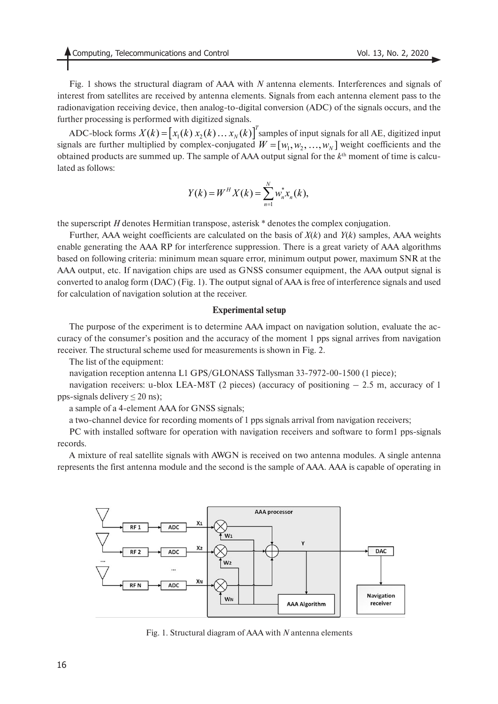Fig. 1 shows the structural diagram of AAA with *N* antenna elements. Interferences and signals of interest from satellites are received by antenna elements. Signals from each antenna element pass to the radionavigation receiving device, then analog-to-digital conversion (ADC) of the signals occurs, and the further processing is performed with digitized signals.

ADC-block forms  $X(k) = |x_1(k)x_2(k)...x_N(k)|$  samples of input signals for all AE, digitized input signals are further multiplied by complex-conjugated  $W = [w_1, w_2, ..., w_N]$  weight coefficients and the obtained products are summed up. The sample of AAA output signal for the *k*th moment of time is calculated as follows:  $X(k) = [x_1(k) x_2(k) ... x_N(k)]^T$  $W = [w_1, w_2, ..., w_N]$ 

$$
Y(k) = W^H X(k) = \sum_{n=1}^{N} w_n^* x_n(k),
$$

the superscript *H* denotes Hermitian transpose, asterisk \* denotes the complex conjugation.

Further, AAA weight coefficients are calculated on the basis of *X*(*k*) and *Y*(*k*) samples, AAA weights enable generating the AAA RP for interference suppression. There is a great variety of AAA algorithms based on following criteria: minimum mean square error, minimum output power, maximum SNR at the AAA output, etc. If navigation chips are used as GNSS consumer equipment, the AAA output signal is converted to analog form (DAC) (Fig. 1). The output signal of AAA is free of interference signals and used for calculation of navigation solution at the receiver.

#### **Experimental setup**

The purpose of the experiment is to determine AAA impact on navigation solution, evaluate the accuracy of the consumer's position and the accuracy of the moment 1 pps signal arrives from navigation receiver. The structural scheme used for measurements is shown in Fig. 2.

The list of the equipment:

navigation reception antenna L1 GPS/GLONASS Tallysman 33-7972-00-1500 (1 piece);

navigation receivers: u-blox LEA-M8T (2 pieces) (accuracy of positioning  $-2.5$  m, accuracy of 1 pps-signals delivery  $\leq$  20 ns);

a sample of a 4-element AAA for GNSS signals;

a two-channel device for recording moments of 1 pps signals arrival from navigation receivers;

PC with installed software for operation with navigation receivers and software to form1 pps-signals records.

A mixture of real satellite signals with AWGN is received on two antenna modules. A single antenna represents the first antenna module and the second is the sample of AAA. AAA is capable of operating in



Fig. 1. Structural diagram of AAA with *N* antenna elements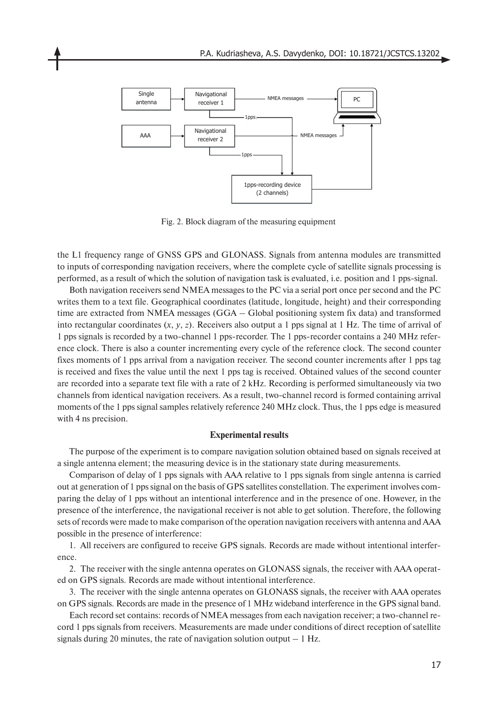

Fig. 2. Block diagram of the measuring equipment

the L1 frequency range of GNSS GPS and GLONASS. Signals from antenna modules are transmitted to inputs of corresponding navigation receivers, where the complete cycle of satellite signals processing is performed, as a result of which the solution of navigation task is evaluated, i.e. position and 1 pps-signal.

Both navigation receivers send NMEA messages to the PC via a serial port once per second and the PC writes them to a text file. Geographical coordinates (latitude, longitude, height) and their corresponding time are extracted from NMEA messages (GGA – Global positioning system fix data) and transformed into rectangular coordinates (*x*, *y*, *z*). Receivers also output a 1 pps signal at 1 Hz. The time of arrival of 1 pps signals is recorded by a two-channel 1 pps-recorder. The 1 pps-recorder contains a 240 MHz reference clock. There is also a counter incrementing every cycle of the reference clock. The second counter fixes moments of 1 pps arrival from a navigation receiver. The second counter increments after 1 pps tag is received and fixes the value until the next 1 pps tag is received. Obtained values of the second counter are recorded into a separate text file with a rate of 2 kHz. Recording is performed simultaneously via two channels from identical navigation receivers. As a result, two-channel record is formed containing arrival moments of the 1 pps signal samples relatively reference 240 MHz clock. Thus, the 1 pps edge is measured with 4 ns precision.

#### **Experimental results**

The purpose of the experiment is to compare navigation solution obtained based on signals received at a single antenna element; the measuring device is in the stationary state during measurements.

Comparison of delay of 1 pps signals with AAA relative to 1 pps signals from single antenna is carried out at generation of 1 pps signal on the basis of GPS satellites constellation. The experiment involves comparing the delay of 1 pps without an intentional interference and in the presence of one. However, in the presence of the interference, the navigational receiver is not able to get solution. Therefore, the following sets of records were made to make comparison of the operation navigation receivers with antenna and AAA possible in the presence of interference:

1. All receivers are configured to receive GPS signals. Records are made without intentional interference.

2. The receiver with the single antenna operates on GLONASS signals, the receiver with AAA operated on GPS signals. Records are made without intentional interference.

3. The receiver with the single antenna operates on GLONASS signals, the receiver with AAA operates on GPS signals. Records are made in the presence of 1 MHz wideband interference in the GPS signal band.

Each record set contains: records of NMEA messages from each navigation receiver; a two-channel record 1 pps signals from receivers. Measurements are made under conditions of direct reception of satellite signals during 20 minutes, the rate of navigation solution output  $-1$  Hz.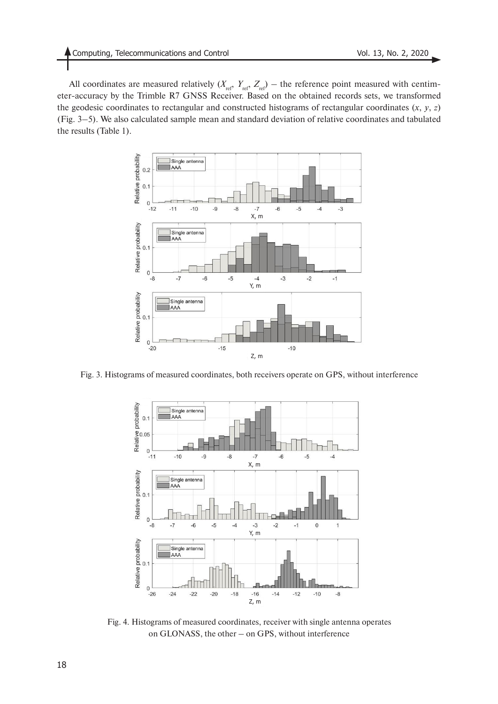All coordinates are measured relatively  $(X_{ref}, Y_{ref}, Z_{ref})$  – the reference point measured with centimeter-accuracy by the Trimble R7 GNSS Receiver. Based on the obtained records sets, we transformed the geodesic coordinates to rectangular and constructed histograms of rectangular coordinates  $(x, y, z)$ (Fig. 3–5). We also calculated sample mean and standard deviation of relative coordinates and tabulated the results (Table 1).



Fig. 3. Histograms of measured coordinates, both receivers operate on GPS, without interference



Fig. 4. Histograms of measured coordinates, receiver with single antenna operates on GLONASS, the other – on GPS, without interference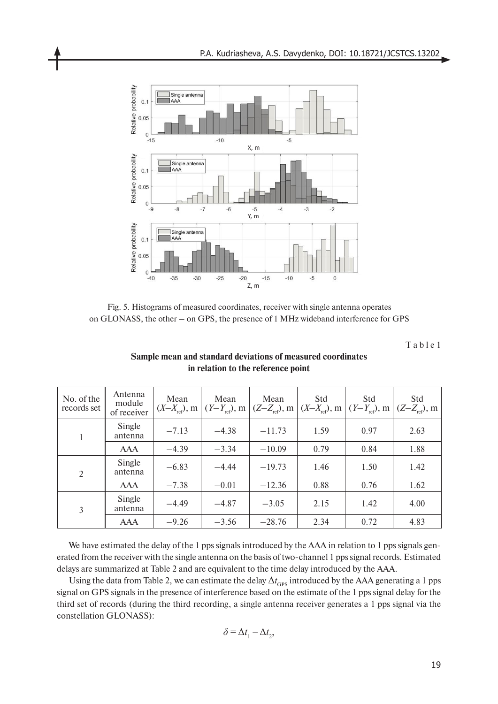

Fig. 5. Histograms of measured coordinates, receiver with single antenna operates on GLONASS, the other – on GPS, the presence of 1 MHz wideband interference for GPS

T a b l e 1

| No. of the<br>records set | Antenna<br>module<br>of receiver | Mean<br>$(X-X_{ref}),$ m | Mean<br>$(Y-Y_{ref}), m$ | Mean     | Std<br>$(Z-Z_{\text{ref}})$ , m $(X-X_{\text{ref}})$ , m | Std<br>$(Y-Y_{ref})$ , m | Std<br>$(Z-Z_{ref}), m$ |
|---------------------------|----------------------------------|--------------------------|--------------------------|----------|----------------------------------------------------------|--------------------------|-------------------------|
|                           | Single<br>antenna                | $-7.13$                  | $-4.38$                  | $-11.73$ | 1.59                                                     | 0.97                     | 2.63                    |
|                           | AAA                              | $-4.39$                  | $-3.34$                  | $-10.09$ | 0.79                                                     | 0.84                     | 1.88                    |
| 2                         | Single<br>antenna                | $-6.83$                  | $-4.44$                  | $-19.73$ | 1.46                                                     | 1.50                     | 1.42                    |
|                           | <b>AAA</b>                       | $-7.38$                  | $-0.01$                  | $-12.36$ | 0.88                                                     | 0.76                     | 1.62                    |
| 3                         | Single<br>antenna                | $-4.49$                  | $-4.87$                  | $-3.05$  | 2.15                                                     | 1.42                     | 4.00                    |
|                           | <b>AAA</b>                       | $-9.26$                  | $-3.56$                  | $-28.76$ | 2.34                                                     | 0.72                     | 4.83                    |

## **Sample mean and standard deviations of measured coordinates in relation to the reference point**

We have estimated the delay of the 1 pps signals introduced by the AAA in relation to 1 pps signals generated from the receiver with the single antenna on the basis of two-channel 1 pps signal records. Estimated delays are summarized at Table 2 and are equivalent to the time delay introduced by the AAA.

Using the data from Table 2, we can estimate the delay  $\Delta t$ <sub>GPS</sub> introduced by the AAA generating a 1 pps signal on GPS signals in the presence of interference based on the estimate of the 1 pps signal delay for the third set of records (during the third recording, a single antenna receiver generates a 1 pps signal via the constellation GLONASS):

$$
\delta\,{=}\,\Delta t_{{\scriptscriptstyle 1}}\,{-}\,\Delta t_{{\scriptscriptstyle 2}},
$$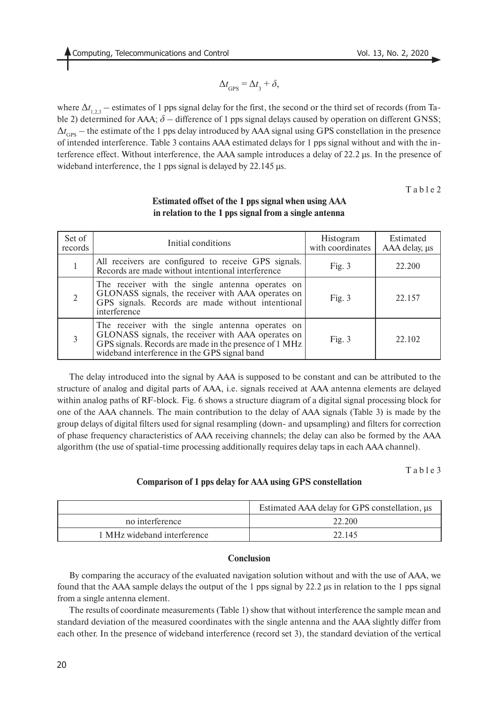$$
\Delta t_{\rm GPS} = \Delta t_3 + \delta,
$$

where  $\Delta t_{1,2,3}$  – estimates of 1 pps signal delay for the first, the second or the third set of records (from Table 2) determined for AAA; *δ* – difference of 1 pps signal delays caused by operation on different GNSS;  $\Delta t$ <sub>GPS</sub> – the estimate of the 1 pps delay introduced by AAA signal using GPS constellation in the presence of intended interference. Table 3 contains AAA estimated delays for 1 pps signal without and with the interference effect. Without interference, the AAA sample introduces a delay of 22.2 μs. In the presence of wideband interference, the 1 pps signal is delayed by 22.145 μs.

T a b l e 2

| Set of<br>records | Initial conditions                                                                                                                                                                                               | Histogram<br>with coordinates | Estimated<br>AAA delay, $\mu s$ |
|-------------------|------------------------------------------------------------------------------------------------------------------------------------------------------------------------------------------------------------------|-------------------------------|---------------------------------|
|                   | All receivers are configured to receive GPS signals.<br>Records are made without intentional interference                                                                                                        | Fig. $3$                      | 22.200                          |
|                   | The receiver with the single antenna operates on<br>GLONASS signals, the receiver with AAA operates on<br>GPS signals. Records are made without intentional<br>interference                                      | Fig. $3$                      | 22.157                          |
| 3                 | The receiver with the single antenna operates on<br>GLONASS signals, the receiver with AAA operates on<br>GPS signals. Records are made in the presence of 1 MHz<br>wideband interference in the GPS signal band | Fig. $3$                      | 22.102                          |

## **Estimated offset of the 1 pps signal when using AAA in relation to the 1 pps signal from a single antenna**

The delay introduced into the signal by AAA is supposed to be constant and can be attributed to the structure of analog and digital parts of AAA, i.e. signals received at AAA antenna elements are delayed within analog paths of RF-block. Fig. 6 shows a structure diagram of a digital signal processing block for one of the AAA channels. The main contribution to the delay of AAA signals (Table 3) is made by the group delays of digital filters used for signal resampling (down- and upsampling) and filters for correction of phase frequency characteristics of AAA receiving channels; the delay can also be formed by the AAA algorithm (the use of spatial-time processing additionally requires delay taps in each AAA channel).

T a b l e 3

## **Comparison of 1 pps delay for AAA using GPS constellation**

|                             | Estimated AAA delay for GPS constellation, $\mu$ s |  |  |
|-----------------------------|----------------------------------------------------|--|--|
| no interference             | 22.200                                             |  |  |
| 1 MHz wideband interference | 22 145                                             |  |  |

## **Conclusion**

By comparing the accuracy of the evaluated navigation solution without and with the use of AAA, we found that the AAA sample delays the output of the 1 pps signal by 22.2 μs in relation to the 1 pps signal from a single antenna element.

The results of coordinate measurements (Table 1) show that without interference the sample mean and standard deviation of the measured coordinates with the single antenna and the AAA slightly differ from each other. In the presence of wideband interference (record set 3), the standard deviation of the vertical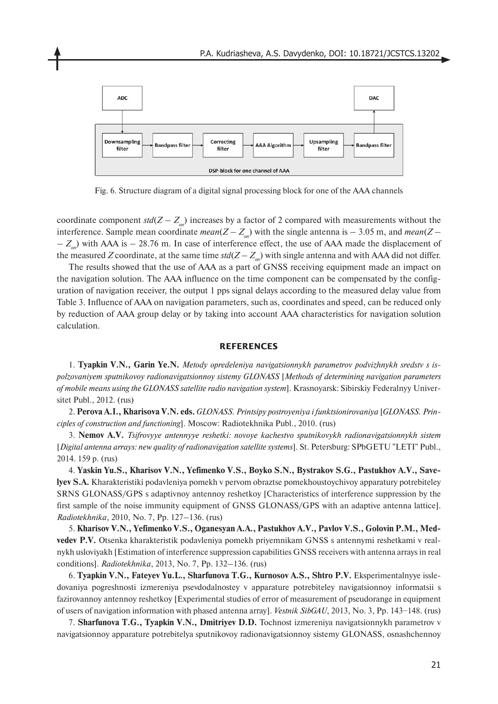

Fig. 6. Structure diagram of a digital signal processing block for one of the AAA channels

coordinate component  $std(Z - Z_{\text{on}})$  increases by a factor of 2 compared with measurements without the interference. Sample mean coordinate *mean*( $Z - Z_{on}$ ) with the single antenna is  $-3.05$  m, and *mean*( $Z -Z_{\text{on}}$ ) with AAA is  $-$  28.76 m. In case of interference effect, the use of AAA made the displacement of the measured *Z* coordinate, at the same time  $std(Z - Z_{on})$  with single antenna and with AAA did not differ.

The results showed that the use of AAA as a part of GNSS receiving equipment made an impact on the navigation solution. The AAA influence on the time component can be compensated by the configuration of navigation receiver, the output 1 pps signal delays according to the measured delay value from Table 3. Influence of AAA on navigation parameters, such as, coordinates and speed, can be reduced only by reduction of AAA group delay or by taking into account AAA characteristics for navigation solution calculation.

#### **REFERENCES**

1. **Tyapkin V.N., Garin Ye.N.** *Metody opredeleniya navigatsionnykh parametrov podvizhnykh sredstv s ispolzovaniyem sputnikovoy radionavigatsionnoy sistemy GLONASS* [*Methods of determining navigation parameters of mobile means using the GLONASS satellite radio navigation system*]. Krasnoyarsk: Sibirskiy Federalnyy Universitet Publ., 2012. (rus)

2. **Perova A.I., Kharisova V.N. eds.** *GLONASS. Printsipy postroyeniya i funktsionirovaniya* [*GLONASS. Principles of construction and functioning*]. Moscow: Radiotekhnika Publ., 2010. (rus)

3. **Nemov A.V.** *Tsifrovyye antennyye reshetki: novoye kachestvo sputnikovykh radionavigatsionnykh sistem*  [*Digital antenna arrays: new quality of radionavigation satellite systems*]. St. Petersburg: SPbGETU "LETI" Publ., 2014. 159 p. (rus)

4. **Yaskin Yu.S., Kharisov V.N., Yefimenko V.S., Boyko S.N., Bystrakov S.G., Pastukhov A.V., Savelyev S.A.** Kharakteristiki podavleniya pomekh v pervom obraztse pomekhoustoychivoy apparatury potrebiteley SRNS GLONASS/GPS s adaptivnoy antennoy reshetkoy [Characteristics of interference suppression by the first sample of the noise immunity equipment of GNSS GLONASS/GPS with an adaptive antenna lattice]. *Radiotekhnika*, 2010, No. 7, Pp. 127–136. (rus)

5. **Kharisov V.N., Yefimenko V.S., Oganesyan A.A., Pastukhov A.V., Pavlov V.S., Golovin P.M., Medvedev P.V.** Otsenka kharakteristik podavleniya pomekh priyemnikam GNSS s antennymi reshetkami v realnykh usloviyakh [Estimation of interference suppression capabilities GNSS receivers with antenna arrays in real conditions]. *Radiotekhnika*, 2013, No. 7, Pp. 132–136. (rus)

6. **Tyapkin V.N., Fateyev Yu.L., Sharfunova T.G., Kurnosov A.S., Shtro P.V.** Eksperimentalnyye issledovaniya pogreshnosti izmereniya psevdodalnostey v apparature potrebiteley navigatsionnoy informatsii s fazirovannoy antennoy reshetkoy [Experimental studies of error of measurement of pseudorange in equipment of users of navigation information with phased antenna array]. *Vestnik SibGAU*, 2013, No. 3, Pp. 143−148. (rus)

7. **Sharfunova T.G., Tyapkin V.N., Dmitriyev D.D.** Tochnost izmereniya navigatsionnykh parametrov v navigatsionnoy apparature potrebitelya sputnikovoy radionavigatsionnoy sistemy GLONASS, osnashchennoy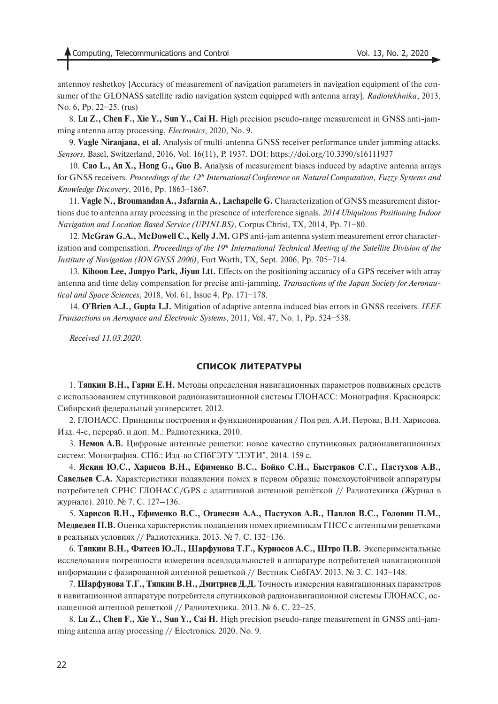antennoy reshetkoy [Accuracy of measurement of navigation parameters in navigation equipment of the consumer of the GLONASS satellite radio navigation system equipped with antenna array]. *Radiotekhnika*, 2013, No. 6, Pp. 22−25. (rus)

8. **Lu Z., Chen F., Xie Y., Sun Y., Cai H.** High precision pseudo-range measurement in GNSS anti-jamming antenna array processing. *Electronics*, 2020, No. 9.

9. **Vagle Niranjana, et al.** Analysis of multi-antenna GNSS receiver performance under jamming attacks. *Sensors,* Basel, Switzerland, 2016, Vol. 16(11), P. 1937. DOI: https://doi.org/10.3390/s16111937

10. **Cao L., An X., Hong G., Guo B.** Analysis of measurement biases induced by adaptive antenna arrays for GNSS receivers. Proceedings of the 12<sup>th</sup> International Conference on Natural Computation, Fuzzy Systems and *Knowledge Discovery*, 2016, Pp. 1863−1867.

11. **Vagle N., Broumandan A., Jafarnia A., Lachapelle G.** Characterization of GNSS measurement distortions due to antenna array processing in the presence of interference signals. *2014 Ubiquitous Positioning Indoor Navigation and Location Based Service (UPINLBS)*, Corpus Christ, TX, 2014, Pp. 71−80.

12. **McGraw G.A., McDowell C., Kelly J.M.** GPS anti-jam antenna system measurement error characterization and compensation. *Proceedings of the 19<sup>th</sup> International Technical Meeting of the Satellite Division of the Institute of Navigation (ION GNSS 2006)*, Fort Worth, TX, Sept. 2006, Pp. 705−714.

13. **Kihoon Lee, Junpyo Park, Jiyun Ltt.** Effects on the positioning accuracy of a GPS receiver with array antenna and time delay compensation for precise anti-jamming. *Transactions of the Japan Society for Aeronautical and Space Sciences*, 2018, Vol. 61, Issue 4, Pp. 171−178.

14. **O'Brien A.J., Gupta I.J.** Mitigation of adaptive antenna induced bias errors in GNSS receivers. *IEEE Transactions on Aerospace and Electronic Systems*, 2011, Vol. 47, No. 1, Pp. 524−538.

*Received 11.03.2020.*

#### **СПИСОК ЛИТЕРАТУРЫ**

1. **Тяпкин В.Н., Гарин Е.Н.** Методы определения навигационных параметров подвижных средств с использованием спутниковой радионавигационной системы ГЛОНАСС: Монография. Красноярск: Сибирский федеральный университет, 2012.

2. ГЛОНАСС. Принципы построения и функционирования / Под ред. А.И. Перова, В.Н. Харисова. Изд. 4-е, перераб. и доп. М.: Радиотехника, 2010.

3. **Немов А.В.** Цифровые антенные решетки: новое качество спутниковых радионавигационных систем: Монография. СПб.: Изд-во СПбГЭТУ "ЛЭТИ", 2014. 159 с.

4. **Яскин Ю.С., Харисов В.Н., Ефименко В.С., Бойко С.Н., Быстраков С.Г., Пастухов А.В., Савельев С.А.** Характеристики подавления помех в первом образце помехоустойчивой аппаратуры потребителей СРНС ГЛОНАСС/GPS с адаптивной антенной решёткой // Радиотехника (Журнал в журнале). 2010. № 7. С. 127–136.

5. **Харисов В.Н., Ефименко В.С., Оганесян А.А., Пастухов А.В., Павлов В.С., Головин П.М., Медведев П.В.** Оценка характеристик подавления помех приемникам ГНСС с антенными решетками в реальных условиях // Радиотехника. 2013. № 7. С. 132−136.

6. **Тяпкин В.Н., Фатеев Ю.Л., Шарфунова Т.Г., Курносов А.С., Штро П.В.** Экспериментальные исследования погрешности измерения псевдодальностей в аппаратуре потребителей навигационной информации с фазированной антенной решеткой // Вестник СибГАУ. 2013. № 3. С. 143−148.

7. **Шарфунова Т.Г., Тяпкин В.Н., Дмитриев Д.Д.** Точность измерения навигационных параметров в навигационной аппаратуре потребителя спутниковой радионавигационной системы ГЛОНАСС, оснащенной антенной решеткой // Радиотехника. 2013. № 6. С. 22−25.

8. **Lu Z., Chen F., Xie Y., Sun Y., Cai H.** High precision pseudo-range measurement in GNSS anti-jamming antenna array processing // Electronics. 2020. No. 9.